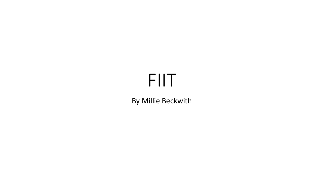# FIIT

By Millie Beckwith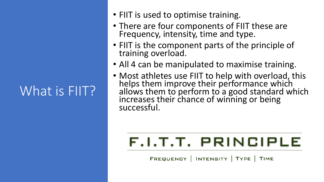# What is FIIT?

- FIIT is used to optimise training.
- There are four components of FIIT these are Frequency, intensity, time and type.
- FIIT is the component parts of the principle of training overload.
- All 4 can be manipulated to maximise training.
- Most athletes use FIIT to help with overload, this helps them improve their performance which allows them to perform to a good standard which increases their chance of winning or being successful.

# F.I.T.T. PRINCIPLE

FREQUENCY | INTENSITY | TYPE | TIME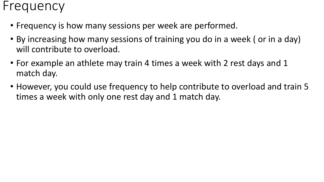#### Frequency

- Frequency is how many sessions per week are performed.
- By increasing how many sessions of training you do in a week ( or in a day) will contribute to overload.
- For example an athlete may train 4 times a week with 2 rest days and 1 match day.
- However, you could use frequency to help contribute to overload and train 5 times a week with only one rest day and 1 match day.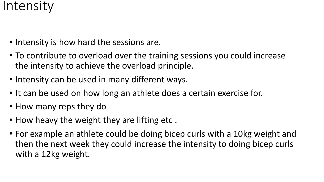#### Intensity

- Intensity is how hard the sessions are.
- To contribute to overload over the training sessions you could increase the intensity to achieve the overload principle.
- Intensity can be used in many different ways.
- It can be used on how long an athlete does a certain exercise for.
- How many reps they do
- How heavy the weight they are lifting etc .
- For example an athlete could be doing bicep curls with a 10kg weight and then the next week they could increase the intensity to doing bicep curls with a 12kg weight.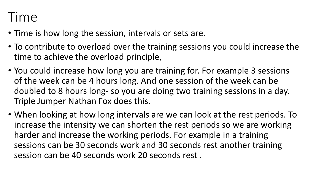# Time

- Time is how long the session, intervals or sets are.
- To contribute to overload over the training sessions you could increase the time to achieve the overload principle,
- You could increase how long you are training for. For example 3 sessions of the week can be 4 hours long. And one session of the week can be doubled to 8 hours long- so you are doing two training sessions in a day. Triple Jumper Nathan Fox does this.
- When looking at how long intervals are we can look at the rest periods. To increase the intensity we can shorten the rest periods so we are working harder and increase the working periods. For example in a training sessions can be 30 seconds work and 30 seconds rest another training session can be 40 seconds work 20 seconds rest .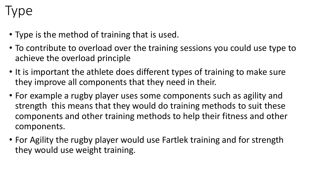# Type

- Type is the method of training that is used.
- To contribute to overload over the training sessions you could use type to achieve the overload principle
- It is important the athlete does different types of training to make sure they improve all components that they need in their.
- For example a rugby player uses some components such as agility and strength this means that they would do training methods to suit these components and other training methods to help their fitness and other components.
- For Agility the rugby player would use Fartlek training and for strength they would use weight training.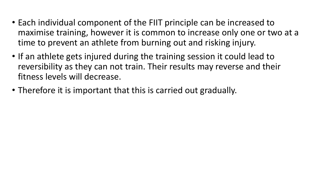- Each individual component of the FIIT principle can be increased to maximise training, however it is common to increase only one or two at a time to prevent an athlete from burning out and risking injury.
- If an athlete gets injured during the training session it could lead to reversibility as they can not train. Their results may reverse and their fitness levels will decrease.
- Therefore it is important that this is carried out gradually.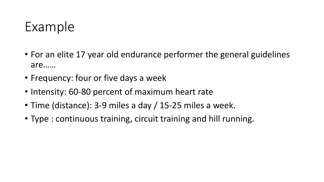### Example

- For an elite 17 year old endurance performer the general guidelines are……
- Frequency: four or five days a week
- Intensity: 60-80 percent of maximum heart rate
- Time (distance): 3-9 miles a day / 15-25 miles a week.
- Type : continuous training, circuit training and hill running.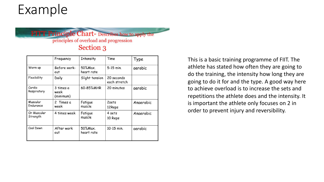### Example

#### **FITT Principle Chart-** Describes how to apply the principles of overload and progression Section 3

|                         | Frequency                      | Intensity             | Time                       | Type      |
|-------------------------|--------------------------------|-----------------------|----------------------------|-----------|
| Warm up                 | Before work-<br>out            | 50%Max.<br>heart rate | 5-15 min.                  | aerobic   |
| Flexibility             | Daily                          | Slight tension        | 20 seconds<br>each stretch |           |
| Cardio<br>Respiratory   | 3 times a<br>week<br>(minimum) | 60-85%MHR             | 20 minutes                 | aerobic   |
| Muscular<br>Endurance   | 2 Times a<br>week              | Fatigue<br>muscle     | 2sets<br>12Reps            | Anaerobic |
| Or Muscular<br>Strength | 4 times week                   | Fatigue<br>muscle     | 4 sets<br>10 Reps          | Anaerobic |
| Cool Down               | After work<br>out              | 50%Max.<br>heart rate | 10-15 min.                 | aerobic   |

This is a basic training programme of FIIT. The athlete has stated how often they are going to do the training, the intensity how long they are going to do it for and the type. A good way here to achieve overload is to increase the sets and repetitions the athlete does and the intensity. It is important the athlete only focuses on 2 in order to prevent injury and reversibility.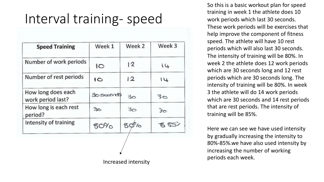### Interval training- speed

| Number of work periods<br>Number of rest periods | IО             | 12  | ί4  |
|--------------------------------------------------|----------------|-----|-----|
|                                                  |                |     |     |
|                                                  | $\overline{6}$ | 12  | 41  |
| How long does each<br>work period last?          | $30$ seconds   | కెం | 30  |
| How long is each rest<br>period?                 | 30             | 30  | 30  |
| Intensity of training                            | $80\%$         | 80% | 852 |

So this is a basic workout plan for speed training in week 1 the athlete does 10 work periods which last 30 seconds. These work periods will be exercises that help improve the component of fitness speed. The athlete will have 10 rest periods which will also last 30 seconds. The intensity of training will be 80%. In week 2 the athlete does 12 work periods which are 30 seconds long and 12 rest periods which are 30 seconds long. The intensity of training will be 80%. In week 3 the athlete will do 14 work periods which are 30 seconds and 14 rest periods that are rest periods. The intensity of training will be 85%.

Here we can see we have used intensity by gradually increasing the intensity to 80%-85%.we have also used intensity by increasing the number of working periods each week. Increased intensity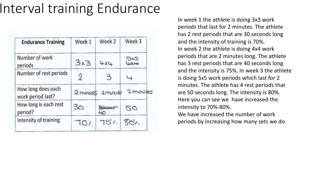# Interval training Endurance

| <b>Endurance Training</b>               | Week 1  | Week 2          | Week 3   |
|-----------------------------------------|---------|-----------------|----------|
| Number of work<br>periods               | 3x3     | 4x4             | UNU      |
| Number of rest periods                  | 2       | З               | ↳        |
| How long does each<br>work period last? | 2 moves | $2$ move        | 2 minues |
| How long is each rest<br>period?        | 30      |                 | SO       |
| Intensity of training                   | 707     | $75^{\prime}$ . | SOV.     |

In week 1 the athlete is doing 3x3 work periods that last for 2 minutes. The athlete has 2 rest periods that are 30 seconds long and the intensity of training is 70%. In week 2 the athlete is doing 4x4 work periods that are 2 minutes long. The athlete has 3 rest periods that are 40 seconds long and the intensity is 75%. In week 3 the athlete is doing 5x5 work periods which last for 2 minutes. The athlete has 4 rest periods that are 50 seconds long. The intensity is 80%. Here you can see we have increased the intensity to 70%-80%. We have increased the number of work

periods by increasing how many sets we do.